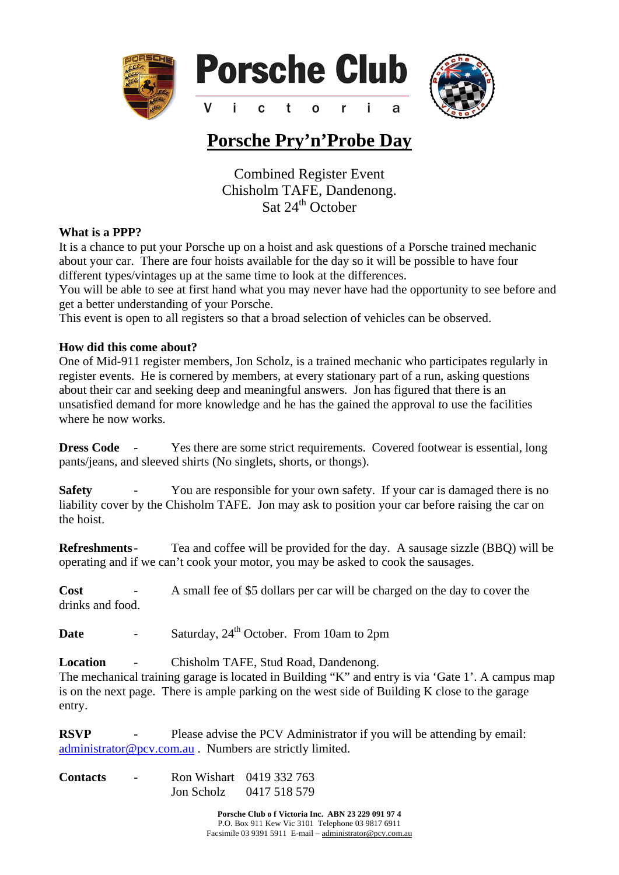

## **Porsche Pry'n'Probe Day**

Combined Register Event Chisholm TAFE, Dandenong.  $\frac{24}{\text{at } 24^{\text{th}}}$  October

## **What is a PPP?**

It is a chance to put your Porsche up on a hoist and ask questions of a Porsche trained mechanic about your car. There are four hoists available for the day so it will be possible to have four different types/vintages up at the same time to look at the differences.

You will be able to see at first hand what you may never have had the opportunity to see before and get a better understanding of your Porsche.

This event is open to all registers so that a broad selection of vehicles can be observed.

## **How did this come about?**

One of Mid-911 register members, Jon Scholz, is a trained mechanic who participates regularly in register events. He is cornered by members, at every stationary part of a run, asking questions about their car and seeking deep and meaningful answers. Jon has figured that there is an unsatisfied demand for more knowledge and he has the gained the approval to use the facilities where he now works.

**Dress Code** - Yes there are some strict requirements. Covered footwear is essential, long pants/jeans, and sleeved shirts (No singlets, shorts, or thongs).

**Safety -** You are responsible for your own safety. If your car is damaged there is no liability cover by the Chisholm TAFE. Jon may ask to position your car before raising the car on the hoist.

**Refreshments** - Tea and coffee will be provided for the day. A sausage sizzle (BBQ) will be operating and if we can't cook your motor, you may be asked to cook the sausages.

**Cost** - A small fee of \$5 dollars per car will be charged on the day to cover the drinks and food.

**Date** - Saturday,  $24^{th}$  October. From 10am to 2pm

**Location** - Chisholm TAFE, Stud Road, Dandenong. The mechanical training garage is located in Building "K" and entry is via 'Gate 1'. A campus map is on the next page. There is ample parking on the west side of Building K close to the garage entry.

**RSVP** - Please advise the PCV Administrator if you will be attending by email: [administrator@pcv.com.au](mailto:administrator@pcv.com.au) . Numbers are strictly limited.

**Contacts** - Ron Wishart 0419 332 763 Jon Scholz 0417 518 579